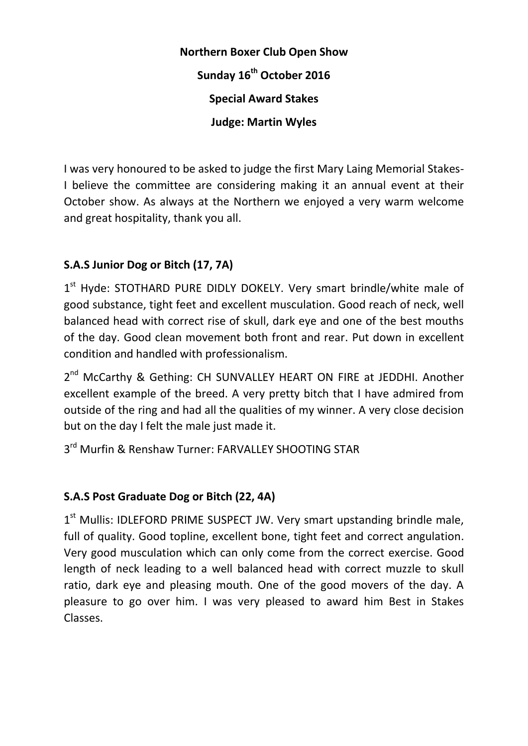## **Northern Boxer Club Open Show Sunday 16th October 2016 Special Award Stakes Judge: Martin Wyles**

I was very honoured to be asked to judge the first Mary Laing Memorial Stakes-I believe the committee are considering making it an annual event at their October show. As always at the Northern we enjoyed a very warm welcome and great hospitality, thank you all.

## **S.A.S Junior Dog or Bitch (17, 7A)**

1<sup>st</sup> Hyde: STOTHARD PURE DIDLY DOKELY. Very smart brindle/white male of good substance, tight feet and excellent musculation. Good reach of neck, well balanced head with correct rise of skull, dark eye and one of the best mouths of the day. Good clean movement both front and rear. Put down in excellent condition and handled with professionalism.

2<sup>nd</sup> McCarthy & Gething: CH SUNVALLEY HEART ON FIRE at JEDDHI. Another excellent example of the breed. A very pretty bitch that I have admired from outside of the ring and had all the qualities of my winner. A very close decision but on the day I felt the male just made it.

3<sup>rd</sup> Murfin & Renshaw Turner: FARVALLEY SHOOTING STAR

## **S.A.S Post Graduate Dog or Bitch (22, 4A)**

1<sup>st</sup> Mullis: IDLEFORD PRIME SUSPECT JW. Very smart upstanding brindle male, full of quality. Good topline, excellent bone, tight feet and correct angulation. Very good musculation which can only come from the correct exercise. Good length of neck leading to a well balanced head with correct muzzle to skull ratio, dark eye and pleasing mouth. One of the good movers of the day. A pleasure to go over him. I was very pleased to award him Best in Stakes Classes.